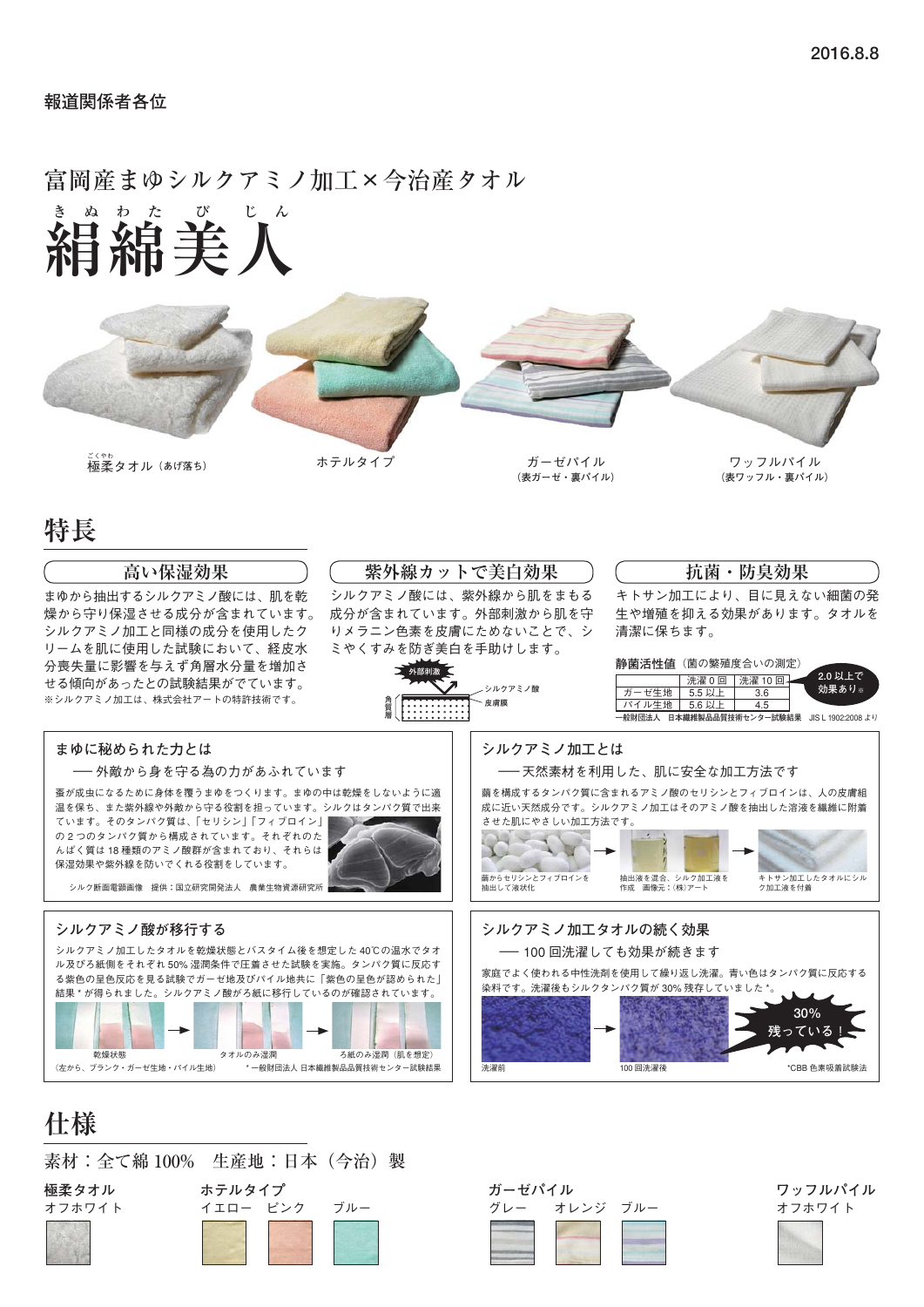#### **報道関係者各位**

#### **絹 き ぬ 綿 わ た 美 び 人 じ ん** 富岡産まゆシルクアミノ加工×今治産タオル



**特長**

| $\sim$                                                                                                                                                                                                                                         |                    |                                                                      |                                                                                                                        |                                                                                |  |  |
|------------------------------------------------------------------------------------------------------------------------------------------------------------------------------------------------------------------------------------------------|--------------------|----------------------------------------------------------------------|------------------------------------------------------------------------------------------------------------------------|--------------------------------------------------------------------------------|--|--|
| 高い保湿効果                                                                                                                                                                                                                                         |                    | 紫外線カットで美白効果                                                          |                                                                                                                        | 抗菌・防臭効果                                                                        |  |  |
| まゆから抽出するシルクアミノ酸には、肌を乾<br>燥から守り保湿させる成分が含まれています。<br>シルクアミノ加工と同様の成分を使用したク                                                                                                                                                                         |                    | シルクアミノ酸には、紫外線から肌をまもる<br>成分が含まれています。外部刺激から肌を守<br>りメラニン色素を皮膚にためないことで、シ | 清潔に保ちます。                                                                                                               | キトサン加工により、目に見えない細菌の発<br>生や増殖を抑える効果があります。タオルを                                   |  |  |
| リームを肌に使用した試験において、経皮水<br>分喪失量に影響を与えず角層水分量を増加さ<br>せる傾向があったとの試験結果がでています。<br>※シルクアミノ加工は、株式会社アートの特許技術です。                                                                                                                                            | ミやくすみを防ぎ美白を手助けします。 | シルクアミノ酸<br>皮膚膜                                                       | 静菌活性値 (菌の繁殖度合いの測定)<br>洗濯 0回   洗濯 10回-<br>ガーゼ生地<br>5.5 以上<br>パイル牛地<br>5.6 以上                                            | 2.0 以上で<br>効果あり※<br>3.6<br>4.5<br>一般財団法人 日本繊維製品品質技術センター試験結果 JIS L 1902:2008 より |  |  |
| まゆに秘められた力とは                                                                                                                                                                                                                                    |                    | シルクアミノ加工とは                                                           |                                                                                                                        |                                                                                |  |  |
| ―― 外敵から身を守る為の力があふれています                                                                                                                                                                                                                         |                    | ――天然素材を利用した、肌に安全な加工方法です                                              |                                                                                                                        |                                                                                |  |  |
| 蚕が成虫になるために身体を覆うまゆをつくります。まゆの中は乾燥をしないように適<br>温を保ち、また紫外線や外敵から守る役割を担っています。シルクはタンパク質で出来<br>ています。そのタンパク質は、「セリシン」「フィブロイン」<br>の2つのタンパク質から構成されています。それぞれのた<br>んぱく質は18種類のアミノ酸群が含まれており、それらは<br>保湿効果や紫外線を防いでくれる役割をしています。<br>シルク断面電顕画像 提供:国立研究開発法人 農業生物資源研究所 |                    | させた肌にやさしい加工方法です。<br>繭からセリシンとフィブロインを<br>抽出して液状化                       | 繭を構成するタンパク質に含まれるアミノ酸のセリシンとフィブロインは、人の皮膚組<br>成に近い天然成分です。シルクアミノ加工はそのアミノ酸を抽出した溶液を繊維に附着<br>抽出液を混合、シルク加工液を<br>作成 画像元: (株)アート | キトサン加工したタオルにシル<br>ク加工液を付着                                                      |  |  |
| シルクアミノ酸が移行する                                                                                                                                                                                                                                   |                    | シルクアミノ加工タオルの続く効果                                                     |                                                                                                                        |                                                                                |  |  |
| シルクアミノ加工したタオルを乾燥状態とバスタイム後を想定した40℃の温水でタオ<br>ル及びろ紙側をそれぞれ50%湿潤条件で圧着させた試験を実施。タンパク質に反応す<br>る紫色の呈色反応を見る試験でガーゼ地及びパイル地共に「紫色の呈色が認められた」<br>結果*が得られました。シルクアミノ酸がろ紙に移行しているのが確認されています。<br>乾燥状態<br>タオルのみ湿潤                                                    | ろ紙のみ湿潤(肌を想定)       |                                                                      | ── 100 回洗濯しても効果が続きます<br>家庭でよく使われる中性洗剤を使用して繰り返し洗濯。青い色はタンパク質に反応する<br>染料です。洗濯後もシルクタンパク質が30%残存していました*。                     | 残っている                                                                          |  |  |

## **仕様**







オフホワイト イエロー ピンク ブルー イング グレー オレンジ ブルー オフホワイト

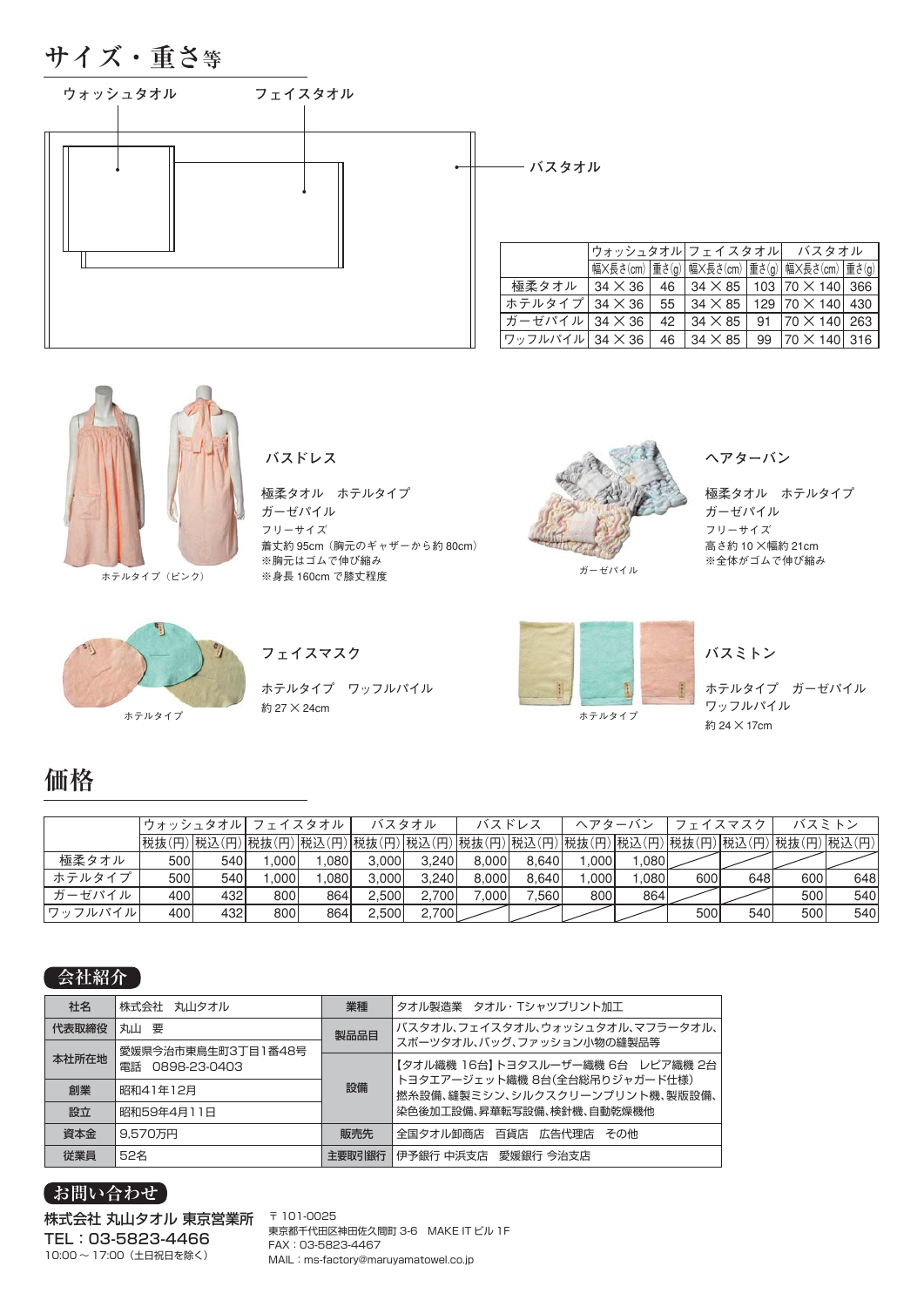



ホテルタイプ(ピンク)

**バスドレス**

極柔タオル ホテルタイプ ガーゼパイル フリーサイズ 着丈約 95cm(胸元のギャザーから約 80cm) ※胸元はゴムで伸び縮み ※身長 160cm で膝丈程度



ガーゼパイル

**ヘアターバン**

極柔タオル ホテルタイプ ガーゼパイル フリーサイズ 高さ約 10 ×幅約 21cm ※全体がゴムで伸び縮み



ホテルタイプ ワッフルパイル

ホテルタイプ ホリコ ホワイ マークス こうしょう かんこうしょう ホテルタイプ 約 27 × 24cm



ホテルタイプ ガーゼパイル ワッフルパイル 約 24 × 17cm

## **価格**

|         | ウォッシュタオル  フェイスタオル |     |      |       |       | バスタオル |        | バスドレス |       | ヘアターバン |     | フェイスマスク                                                                             |     | バスミトン |
|---------|-------------------|-----|------|-------|-------|-------|--------|-------|-------|--------|-----|-------------------------------------------------------------------------------------|-----|-------|
|         |                   |     |      |       |       |       |        |       |       |        |     | 税抜(円) 税込(円) 税抜(円) 税込(円) 税抜(円) 税込(円) 税抜(円) 税込(円) 税抜(円) 税法(円) 税抜(円) 税込(円) 税込(円) 税込(円) |     |       |
| 極柔タオル   | 500               | 540 | .000 | .0801 | 3.000 | 3.240 | 8.000  | 8.640 | .0001 | 1.080  |     |                                                                                     |     |       |
| ホテルタイプ  | 500               | 540 | .000 | .0801 | 3.000 | 3.240 | 8,000  | 8.640 | .0001 | 080,1  | 600 | 648                                                                                 | 600 | 648   |
| ガーゼパイル  | 400               | 432 | 800l | 864   | 2.500 | 2.700 | 000۱.' | 7.560 | 800   | 864    |     |                                                                                     | 500 | 540   |
| ワッフルパイル | 400               | 432 | 800l | 864   | 2,500 | 2,700 |        |       |       |        | 500 | 540                                                                                 | 500 | 540   |

#### **会社紹介**

| 社名    | 株式会社 丸山タオル         | 業種     | タオル製造業 タオル・Tシャツプリント加工                                           |  |  |  |  |
|-------|--------------------|--------|-----------------------------------------------------------------|--|--|--|--|
| 代表取締役 | 丸山要                | 製品品目   | バスタオル、フェイスタオル、ウォッシュタオル、マフラータオル、                                 |  |  |  |  |
|       | 愛媛県今治市東鳥生町3丁目1番48号 |        | スポーツタオル、バッグ、ファッション小物の縫製品等                                       |  |  |  |  |
| 本社所在地 | 電話 0898-23-0403    |        | 【タオル織機 16台】トヨタスルーザー織機 6台 レピア織機 2台                               |  |  |  |  |
| 創業    | 昭和41年12月           | 設備     | トヨタエアージェット織機 8台(全台総吊りジャガード仕様)<br>撚糸設備、縫製ミシン、シルクスクリーンプリント機、製版設備、 |  |  |  |  |
| 設立    | 昭和59年4月11日         |        | 染色後加工設備、昇華転写設備、検針機、自動乾燥機他                                       |  |  |  |  |
| 資本金   | 9.570万円            | 販売先    | 全国タオル卸商店 百貨店 広告代理店<br>その他                                       |  |  |  |  |
| 従業員   | 52名                | 主要取引銀行 | 伊予銀行 中浜支店 愛媛銀行 今治支店                                             |  |  |  |  |

#### **お問い合わせ**

10:00 ~ 17:00(土日祝日を除く) 株式会社 丸山タオル 東京営業所 TEL:03-5823-4466

〒 101-0025 東京都千代田区神田佐久間町 3-6 MAKE IT ビル 1F FAX:03-5823-4467 MAIL:ms-factory@maruyamatowel.co.jp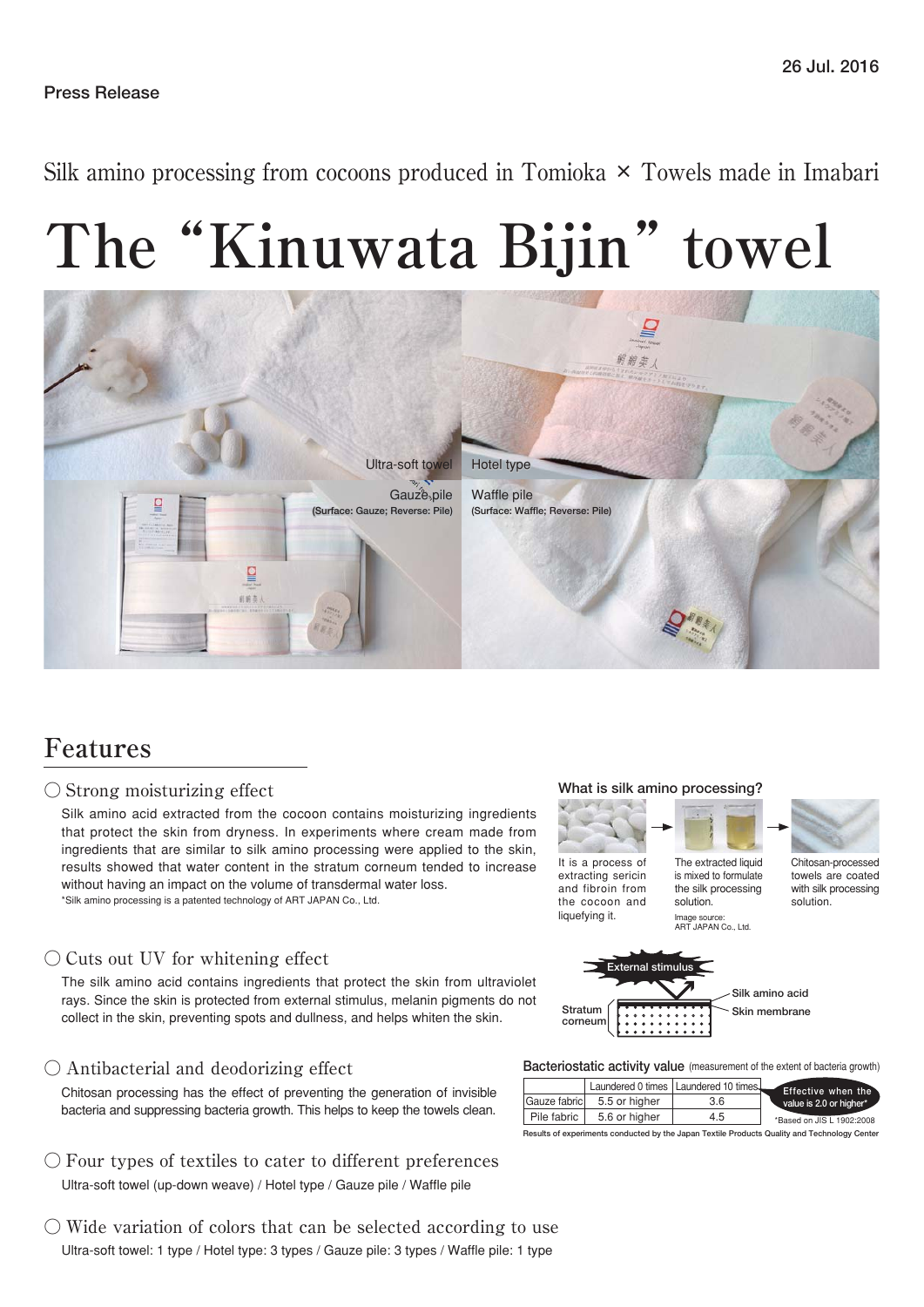Silk amino processing from cocoons produced in Tomioka  $\times$  Towels made in Imabari

# **The "Kinuwata Bijin" towel**



### **Features**

#### ○ Strong moisturizing effect

Silk amino acid extracted from the cocoon contains moisturizing ingredients that protect the skin from dryness. In experiments where cream made from ingredients that are similar to silk amino processing were applied to the skin, results showed that water content in the stratum corneum tended to increase without having an impact on the volume of transdermal water loss. \*Silk amino processing is a patented technology of ART JAPAN Co., Ltd.

#### $\bigcirc$  Cuts out UV for whitening effect

The silk amino acid contains ingredients that protect the skin from ultraviolet rays. Since the skin is protected from external stimulus, melanin pigments do not collect in the skin, preventing spots and dullness, and helps whiten the skin.

#### ○ Antibacterial and deodorizing effect

Chitosan processing has the effect of preventing the generation of invisible bacteria and suppressing bacteria growth. This helps to keep the towels clean.

- Ultra-soft towel (up-down weave) / Hotel type / Gauze pile / Waffle pile  $\bigcirc$  Four types of textiles to cater to different preferences
- Ultra-soft towel: 1 type / Hotel type: 3 types / Gauze pile: 3 types / Waffle pile: 1 type  $\circlearrowright$  Wide variation of colors that can be selected according to use

#### **What is silk amino processing?**

the cocoon and liquefying it.



solution. Image source: ART JAPAN Co., Ltd. solution.



**Bacteriostatic activity value** (measurement of the extent of bacteria growth)

|              |               | Laundered 0 times   Laundered 10 times | Effective when the        |
|--------------|---------------|----------------------------------------|---------------------------|
| Gauze fabric | 5.5 or higher | 3.6                                    | value is 2.0 or higher*   |
| Pile fabric  | 5.6 or higher | 4.5                                    | *Based on JIS L 1902:2008 |

**Results of experiments conducted by the Japan Textile Products Quality and Technology Center**